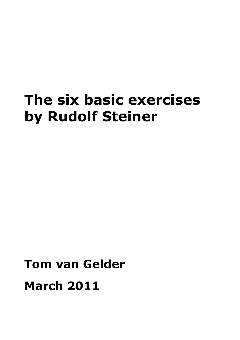# **The six basic exercises by Rudolf Steiner**

# **Tom van Gelder March 2011**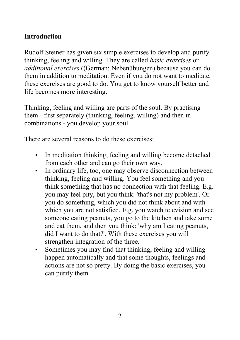# **Introduction**

Rudolf Steiner has given six simple exercises to develop and purify thinking, feeling and willing. They are called *basic exercises* or *additional exercises* ((German: Nebenübungen) because you can do them in addition to meditation. Even if you do not want to meditate, these exercises are good to do. You get to know yourself better and life becomes more interesting.

Thinking, feeling and willing are parts of the [soul.](file:///C:\Documents and Settings\Tom\Mijn documenten\Website\htm\english\e5man.html#soul) By practising them - first separately (thinking, feeling, willing) and then in combinations - you develop your soul.

There are several reasons to do these exercises:

- In meditation thinking, feeling and willing become detached from each other and can go their own way.
- In ordinary life, too, one may observe disconnection between thinking, feeling and willing. You feel something and you think something that has no connection with that feeling. E.g. you may feel pity, but you think: 'that's not my problem'. Or you do something, which you did not think about and with which you are not satisfied. E.g. you watch television and see someone eating peanuts, you go to the kitchen and take some and eat them, and then you think: 'why am I eating peanuts, did I want to do that?'. With these exercises you will strengthen integration of the three.
- Sometimes you may find that thinking, feeling and willing happen automatically and that some thoughts, feelings and actions are not so pretty. By doing the basic exercises, you can purify them.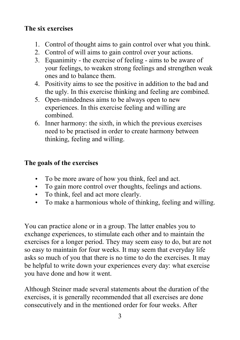# **The six exercises**

- 1. Control of thought aims to gain control over what you think.
- 2. Control of will aims to gain control over your actions.
- 3. Equanimity the exercise of feeling aims to be aware of your feelings, to weaken strong feelings and strengthen weak ones and to balance them.
- 4. Positivity aims to see the positive in addition to the bad and the ugly. In this exercise thinking and feeling are combined.
- 5. Open-mindedness aims to be always open to new experiences. In this exercise feeling and willing are combined.
- 6. Inner harmony: the sixth, in which the previous exercises need to be practised in order to create harmony between thinking, feeling and willing.

# **The goals of the exercises**

- To be more aware of how you think, feel and act.
- To gain more control over thoughts, feelings and actions.
- To think, feel and act more clearly.
- To make a harmonious whole of thinking, feeling and willing.

You can practice alone or in a group. The latter enables you to exchange experiences, to stimulate each other and to maintain the exercises for a longer period. They may seem easy to do, but are not so easy to maintain for four weeks. It may seem that everyday life asks so much of you that there is no time to do the exercises. It may be helpful to write down your experiences every day: what exercise you have done and how it went.

Although Steiner made several statements about the duration of the exercises, it is generally recommended that all exercises are done consecutively and in the mentioned order for four weeks. After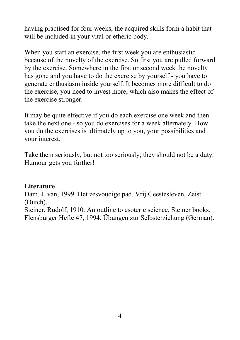having practised for four weeks, the acquired skills form a habit that will be included in your vital or etheric body.

When you start an exercise, the first week you are enthusiastic because of the novelty of the exercise. So first you are pulled forward by the exercise. Somewhere in the first or second week the novelty has gone and you have to do the exercise by yourself - you have to generate enthusiasm inside yourself. It becomes more difficult to do the exercise, you need to invest more, which also makes the effect of the exercise stronger.

It may be quite effective if you do each exercise one week and then take the next one - so you do exercises for a week alternately. How you do the exercises is ultimately up to you, your possibilities and your interest.

Take them seriously, but not too seriously; they should not be a duty. Humour gets you further!

#### **Literature**

Dam, J. van, 1999. Het zesvoudige pad. Vrij Geestesleven, Zeist (Dutch).

Steiner, Rudolf, 1910. An outline to esoteric science. Steiner books. Flensburger Hefte 47, 1994. Übungen zur Selbsterziehung (German).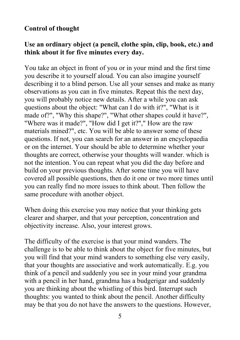# **Control of thought**

#### **Use an ordinary object (a pencil, clothe spin, clip, book, etc.) and think about it for five minutes every day.**

You take an object in front of you or in your mind and the first time you describe it to yourself aloud. You can also imagine yourself describing it to a blind person. Use all your senses and make as many observations as you can in five minutes. Repeat this the next day, you will probably notice new details. After a while you can ask questions about the object: "What can I do with it?", "What is it made of?", "Why this shape?", "What other shapes could it have?", "Where was it made?", "How did I get it?"," How are the raw materials mined?", etc. You will be able to answer some of these questions. If not, you can search for an answer in an encyclopaedia or on the internet. Your should be able to determine whether your thoughts are correct, otherwise your thoughts will wander. which is not the intention. You can repeat what you did the day before and build on your previous thoughts. After some time you will have covered all possible questions, then do it one or two more times until you can really find no more issues to think about. Then follow the same procedure with another object.

When doing this exercise you may notice that your thinking gets clearer and sharper, and that your perception, concentration and objectivity increase. Also, your interest grows.

The difficulty of the exercise is that your mind wanders. The challenge is to be able to think about the object for five minutes, but you will find that your mind wanders to something else very easily, that your thoughts are associative and work automatically. E.g. you think of a pencil and suddenly you see in your mind your grandma with a pencil in her hand, grandma has a budgerigar and suddenly you are thinking about the whistling of this bird. Interrupt such thoughts: you wanted to think about the pencil. Another difficulty may be that you do not have the answers to the questions. However,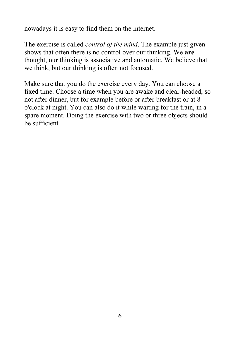nowadays it is easy to find them on the internet.

The exercise is called *control of the mind*. The example just given shows that often there is no control over our thinking. We **are** thought, our thinking is associative and automatic. We believe that we think, but our thinking is often not focused.

Make sure that you do the exercise every day. You can choose a fixed time. Choose a time when you are awake and clear-headed, so not after dinner, but for example before or after breakfast or at 8 o'clock at night. You can also do it while waiting for the train, in a spare moment. Doing the exercise with two or three objects should be sufficient.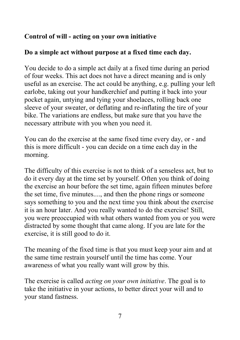# **Control of will - acting on your own initiative**

#### **Do a simple act without purpose at a fixed time each day.**

You decide to do a simple act daily at a fixed time during an period of four weeks. This act does not have a direct meaning and is only useful as an exercise. The act could be anything, e.g. pulling your left earlobe, taking out your handkerchief and putting it back into your pocket again, untying and tying your shoelaces, rolling back one sleeve of your sweater, or deflating and re-inflating the tire of your bike. The variations are endless, but make sure that you have the necessary attribute with you when you need it.

You can do the exercise at the same fixed time every day, or - and this is more difficult - you can decide on a time each day in the morning.

The difficulty of this exercise is not to think of a senseless act, but to do it every day at the time set by yourself. Often you think of doing the exercise an hour before the set time, again fifteen minutes before the set time, five minutes...., and then the phone rings or someone says something to you and the next time you think about the exercise it is an hour later. And you really wanted to do the exercise! Still, you were preoccupied with what others wanted from you or you were distracted by some thought that came along. If you are late for the exercise, it is still good to do it.

The meaning of the fixed time is that you must keep your aim and at the same time restrain yourself until the time has come. Your awareness of what you really want will grow by this.

The exercise is called *acting on your own initiative*. The goal is to take the initiative in your actions, to better direct your will and to your stand fastness.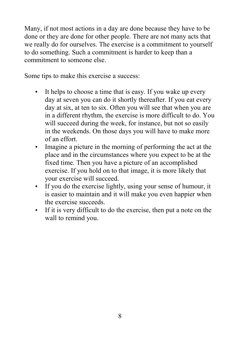Many, if not most actions in a day are done because they have to be done or they are done for other people. There are not many acts that we really do for ourselves. The exercise is a commitment to yourself to do something. Such a commitment is harder to keep than a commitment to someone else.

Some tips to make this exercise a success:

- It helps to choose a time that is easy. If you wake up every day at seven you can do it shortly thereafter. If you eat every day at six, at ten to six. Often you will see that when you are in a different rhythm, the exercise is more difficult to do. You will succeed during the week, for instance, but not so easily in the weekends. On those days you will have to make more of an effort.
- Imagine a picture in the morning of performing the act at the place and in the circumstances where you expect to be at the fixed time. Then you have a picture of an accomplished exercise. If you hold on to that image, it is more likely that your exercise will succeed.
- If you do the exercise lightly, using your sense of humour, it is easier to maintain and it will make you even happier when the exercise succeeds.
- If it is very difficult to do the exercise, then put a note on the wall to remind you.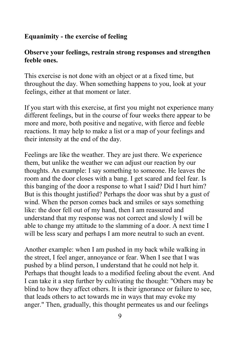# **Equanimity - the exercise of feeling**

#### **Observe your feelings, restrain strong responses and strengthen feeble ones.**

This exercise is not done with an object or at a fixed time, but throughout the day. When something happens to you, look at your feelings, either at that moment or later.

If you start with this exercise, at first you might not experience many different feelings, but in the course of four weeks there appear to be more and more, both positive and negative, with fierce and feeble reactions. It may help to make a list or a map of your feelings and their intensity at the end of the day.

Feelings are like the weather. They are just there. We experience them, but unlike the weather we can adjust our reaction by our thoughts. An example: I say something to someone. He leaves the room and the door closes with a bang. I get scared and feel fear. Is this banging of the door a response to what I said? Did I hurt him? But is this thought justified? Perhaps the door was shut by a gust of wind. When the person comes back and smiles or says something like: the door fell out of my hand, then I am reassured and understand that my response was not correct and slowly I will be able to change my attitude to the slamming of a door. A next time I will be less scary and perhaps I am more neutral to such an event.

Another example: when I am pushed in my back while walking in the street, I feel anger, annoyance or fear. When I see that I was pushed by a blind person, I understand that he could not help it. Perhaps that thought leads to a modified feeling about the event. And I can take it a step further by cultivating the thought: "Others may be blind to how they affect others. It is their ignorance or failure to see, that leads others to act towards me in ways that may evoke my anger." Then, gradually, this thought permeates us and our feelings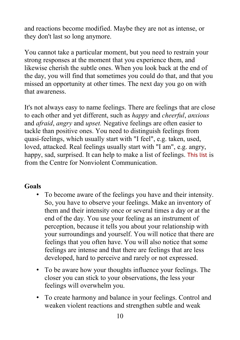and reactions become modified. Maybe they are not as intense, or they don't last so long anymore.

You cannot take a particular moment, but you need to restrain your strong responses at the moment that you experience them, and likewise cherish the subtle ones. When you look back at the end of the day, you will find that sometimes you could do that, and that you missed an opportunity at other times. The next day you go on with that awareness.

It's not always easy to name feelings. There are feelings that are close to each other and yet different, such as *happy* and *cheerful*, *anxious* and *afraid*, *angry* and *upset.* Negative feelings are often easier to tackle than positive ones. You need to distinguish feelings from quasi-feelings, which usually start with "I feel", e.g. taken, used, loved, attacked. Real feelings usually start with "I am", e.g. angry, happy, sad, surprised. It can help to make a list of feelings. [This list](http://www.cnvc.org/Training/feelings-inventory) is from the Centre for Nonviolent Communication.

#### **Goals**

- To become aware of the feelings you have and their intensity. So, you have to observe your feelings. Make an inventory of them and their intensity once or several times a day or at the end of the day. You use your feeling as an instrument of perception, because it tells you about your relationship with your surroundings and yourself. You will notice that there are feelings that you often have. You will also notice that some feelings are intense and that there are feelings that are less developed, hard to perceive and rarely or not expressed.
- To be aware how your thoughts influence your feelings. The closer you can stick to your observations, the less your feelings will overwhelm you.
- To create harmony and balance in your feelings. Control and weaken violent reactions and strengthen subtle and weak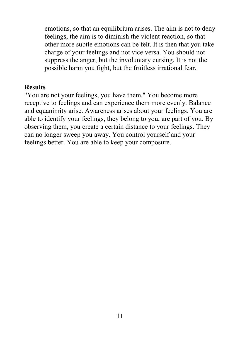emotions, so that an equilibrium arises. The aim is not to deny feelings, the aim is to diminish the violent reaction, so that other more subtle emotions can be felt. It is then that you take charge of your feelings and not vice versa. You should not suppress the anger, but the involuntary cursing. It is not the possible harm you fight, but the fruitless irrational fear.

#### **Results**

"You are not your feelings, you have them." You become more receptive to feelings and can experience them more evenly. Balance and equanimity arise. Awareness arises about your feelings. You are able to identify your feelings, they belong to you, are part of you. By observing them, you create a certain distance to your feelings. They can no longer sweep you away. You control yourself and your feelings better. You are able to keep your composure.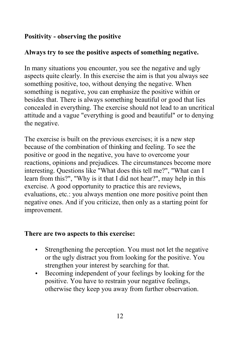# **Positivity - observing the positive**

#### **Always try to see the positive aspects of something negative.**

In many situations you encounter, you see the negative and ugly aspects quite clearly. In this exercise the aim is that you always see something positive, too, without denying the negative. When something is negative, you can emphasize the positive within or besides that. There is always something beautiful or good that lies concealed in everything. The exercise should not lead to an uncritical attitude and a vague "everything is good and beautiful" or to denying the negative.

The exercise is built on the previous exercises; it is a new step because of the combination of thinking and feeling. To see the positive or good in the negative, you have to overcome your reactions, opinions and prejudices. The circumstances become more interesting. Questions like "What does this tell me?", "What can I learn from this?", "Why is it that I did not hear?", may help in this exercise. A good opportunity to practice this are reviews, evaluations, etc.: you always mention one more positive point then negative ones. And if you criticize, then only as a starting point for improvement.

#### **There are two aspects to this exercise:**

- Strengthening the perception. You must not let the negative or the ugly distract you from looking for the positive. You strengthen your interest by searching for that.
- Becoming independent of your feelings by looking for the positive. You have to restrain your negative feelings, otherwise they keep you away from further observation.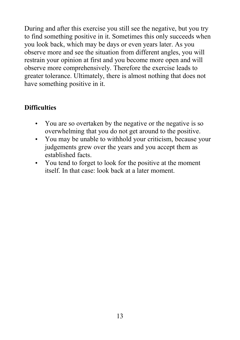During and after this exercise you still see the negative, but you try to find something positive in it. Sometimes this only succeeds when you look back, which may be days or even years later. As you observe more and see the situation from different angles, you will restrain your opinion at first and you become more open and will observe more comprehensively. Therefore the exercise leads to greater tolerance. Ultimately, there is almost nothing that does not have something positive in it.

# **Difficulties**

- You are so overtaken by the negative or the negative is so overwhelming that you do not get around to the positive.
- You may be unable to withhold your criticism, because your judgements grew over the years and you accept them as established facts.
- You tend to forget to look for the positive at the moment itself. In that case: look back at a later moment.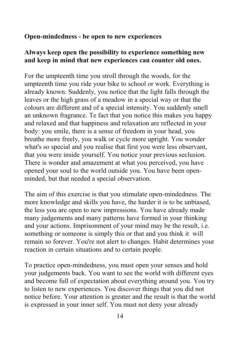#### **Open-mindedness - be open to new experiences**

#### **Always keep open the possibility to experience something new and keep in mind that new experiences can counter old ones.**

For the umpteenth time you stroll through the woods, for the umpteenth time you ride your bike to school or work. Everything is already known. Suddenly, you notice that the light falls through the leaves or the high grass of a meadow in a special way or that the colours are different and of a special intensity. You suddenly smell an unknown fragrance. Te fact that you notice this makes you happy and relaxed and that happiness and relaxation are reflected in your body: you smile, there is a sense of freedom in your head, you breathe more freely, you walk or cycle more upright. You wonder what's so special and you realise that first you were less observant, that you were inside yourself. You notice your previous seclusion. There is wonder and amazement at what you perceived, you have opened your soul to the world outside you. You have been openminded, but that needed a special observation.

The aim of this exercise is that you stimulate open-mindedness. The more knowledge and skills you have, the harder it is to be unbiased, the less you are open to new impressions. You have already made many judgements and many patterns have formed in your thinking and your actions. Imprisonment of your mind may be the result, i.e. something or someone is simply this or that and you think it will remain so forever. You're not alert to changes. Habit determines your reaction in certain situations and to certain people.

To practice open-mindedness, you must open your senses and hold your judgements back. You want to see the world with different eyes and become full of expectation about everything around you. You try to listen to new experiences. You discover things that you did not notice before. Your attention is greater and the result is that the world is expressed in your inner self. You must not deny your already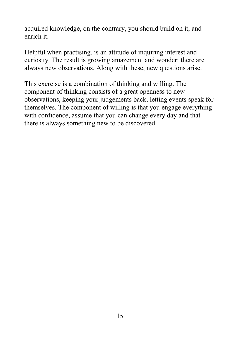acquired knowledge, on the contrary, you should build on it, and enrich it.

Helpful when practising, is an attitude of inquiring interest and curiosity. The result is growing amazement and wonder: there are always new observations. Along with these, new questions arise.

This exercise is a combination of thinking and willing. The component of thinking consists of a great openness to new observations, keeping your judgements back, letting events speak for themselves. The component of willing is that you engage everything with confidence, assume that you can change every day and that there is always something new to be discovered.